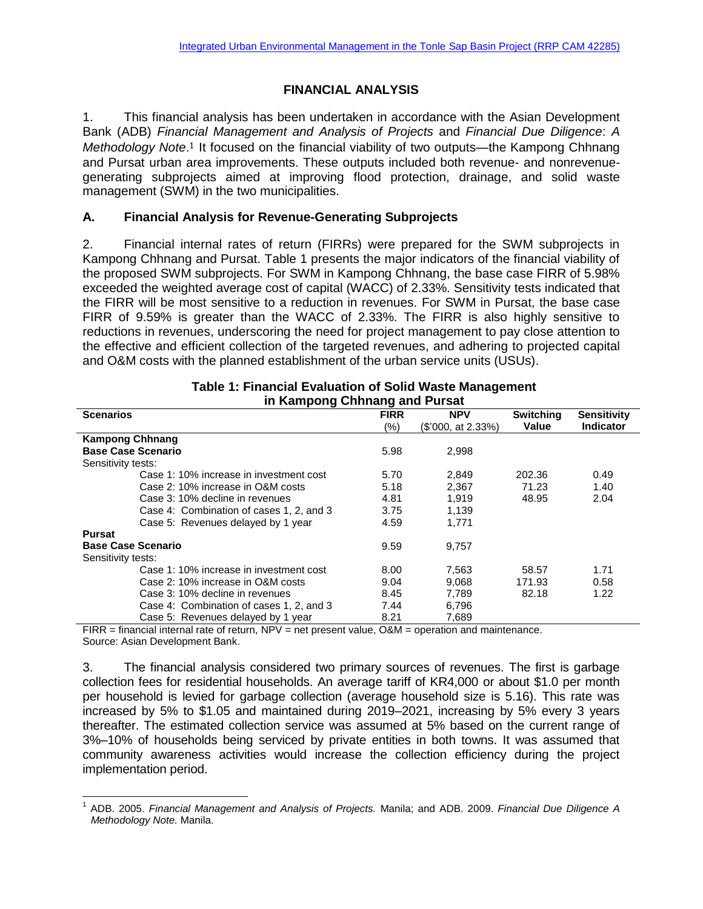# **FINANCIAL ANALYSIS**

1. This financial analysis has been undertaken in accordance with the Asian Development Bank (ADB) *Financial Management and Analysis of Projects* and *Financial Due Diligence*: *A*  Methodology Note.<sup>1</sup> It focused on the financial viability of two outputs—the Kampong Chhnang and Pursat urban area improvements. These outputs included both revenue- and nonrevenuegenerating subprojects aimed at improving flood protection, drainage, and solid waste management (SWM) in the two municipalities.

## **A. Financial Analysis for Revenue-Generating Subprojects**

2. Financial internal rates of return (FIRRs) were prepared for the SWM subprojects in Kampong Chhnang and Pursat. Table 1 presents the major indicators of the financial viability of the proposed SWM subprojects. For SWM in Kampong Chhnang, the base case FIRR of 5.98% exceeded the weighted average cost of capital (WACC) of 2.33%. Sensitivity tests indicated that the FIRR will be most sensitive to a reduction in revenues. For SWM in Pursat, the base case FIRR of 9.59% is greater than the WACC of 2.33%. The FIRR is also highly sensitive to reductions in revenues, underscoring the need for project management to pay close attention to the effective and efficient collection of the targeted revenues, and adhering to projected capital and O&M costs with the planned establishment of the urban service units (USUs).

| in Kanipong Ghimang and Pursal           |             |                    |                  |                    |  |  |  |  |  |  |  |
|------------------------------------------|-------------|--------------------|------------------|--------------------|--|--|--|--|--|--|--|
| <b>Scenarios</b>                         | <b>FIRR</b> | <b>NPV</b>         | <b>Switching</b> | <b>Sensitivity</b> |  |  |  |  |  |  |  |
|                                          | (%)         | (\$'000, at 2.33%) | Value            | <b>Indicator</b>   |  |  |  |  |  |  |  |
| <b>Kampong Chhnang</b>                   |             |                    |                  |                    |  |  |  |  |  |  |  |
| <b>Base Case Scenario</b>                |             | 2,998              |                  |                    |  |  |  |  |  |  |  |
| Sensitivity tests:                       |             |                    |                  |                    |  |  |  |  |  |  |  |
| Case 1: 10% increase in investment cost  | 5.70        | 2.849              | 202.36           | 0.49               |  |  |  |  |  |  |  |
| Case 2: 10% increase in O&M costs        | 5.18        | 2,367              | 71.23            | 1.40               |  |  |  |  |  |  |  |
| Case 3: 10% decline in revenues          | 4.81        | 1.919              | 48.95            | 2.04               |  |  |  |  |  |  |  |
| Case 4: Combination of cases 1, 2, and 3 | 3.75        | 1.139              |                  |                    |  |  |  |  |  |  |  |
| Case 5: Revenues delayed by 1 year       | 4.59        | 1.771              |                  |                    |  |  |  |  |  |  |  |
| <b>Pursat</b>                            |             |                    |                  |                    |  |  |  |  |  |  |  |
| <b>Base Case Scenario</b>                | 9.59        | 9,757              |                  |                    |  |  |  |  |  |  |  |
| Sensitivity tests:                       |             |                    |                  |                    |  |  |  |  |  |  |  |
| Case 1: 10% increase in investment cost  | 8.00        | 7,563              | 58.57            | 1.71               |  |  |  |  |  |  |  |
| Case 2: 10% increase in O&M costs        | 9.04        | 9,068              | 171.93           | 0.58               |  |  |  |  |  |  |  |
| Case 3: 10% decline in revenues          | 8.45        | 7,789              | 82.18            | 1.22               |  |  |  |  |  |  |  |
| Case 4: Combination of cases 1, 2, and 3 | 7.44        | 6.796              |                  |                    |  |  |  |  |  |  |  |
| Case 5: Revenues delayed by 1 year       | 8.21        | 7.689              |                  |                    |  |  |  |  |  |  |  |

#### **Table 1: Financial Evaluation of Solid Waste Management in Kampong Chhnang and Pursat**

FIRR = financial internal rate of return, NPV = net present value, O&M = operation and maintenance. Source: Asian Development Bank.

3. The financial analysis considered two primary sources of revenues. The first is garbage collection fees for residential households. An average tariff of KR4,000 or about \$1.0 per month per household is levied for garbage collection (average household size is 5.16). This rate was increased by 5% to \$1.05 and maintained during 2019–2021, increasing by 5% every 3 years thereafter. The estimated collection service was assumed at 5% based on the current range of 3%–10% of households being serviced by private entities in both towns. It was assumed that community awareness activities would increase the collection efficiency during the project implementation period.

 1 ADB. 2005. *Financial Management and Analysis of Projects.* Manila; and ADB. 2009. *Financial Due Diligence A Methodology Note.* Manila.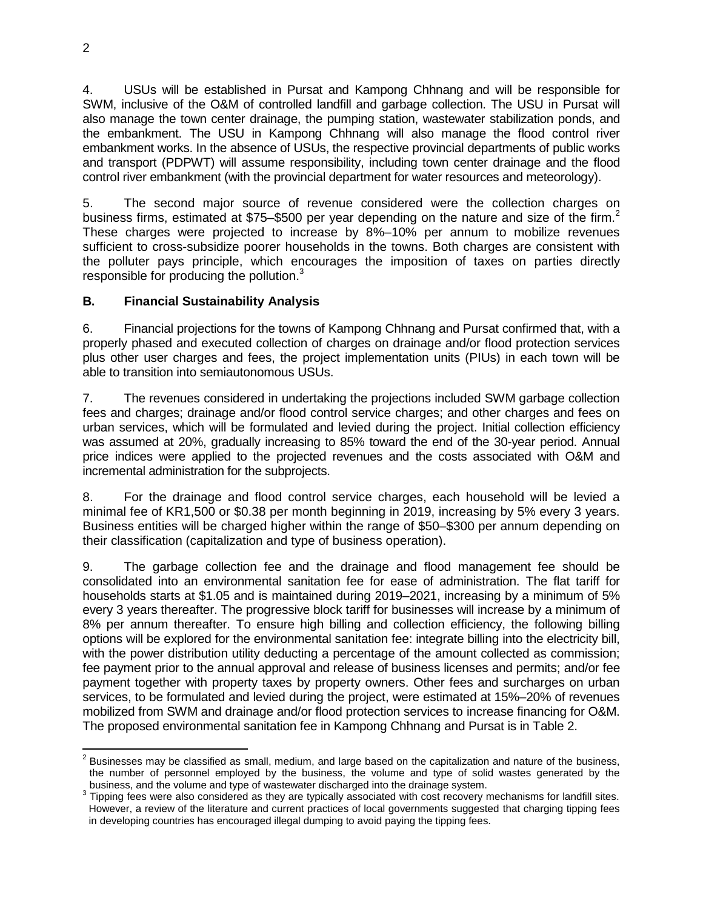4. USUs will be established in Pursat and Kampong Chhnang and will be responsible for SWM, inclusive of the O&M of controlled landfill and garbage collection. The USU in Pursat will also manage the town center drainage, the pumping station, wastewater stabilization ponds, and the embankment. The USU in Kampong Chhnang will also manage the flood control river embankment works. In the absence of USUs, the respective provincial departments of public works and transport (PDPWT) will assume responsibility, including town center drainage and the flood control river embankment (with the provincial department for water resources and meteorology).

5. The second major source of revenue considered were the collection charges on business firms, estimated at \$75–\$500 per year depending on the nature and size of the firm.<sup>2</sup> These charges were projected to increase by 8%–10% per annum to mobilize revenues sufficient to cross-subsidize poorer households in the towns. Both charges are consistent with the polluter pays principle, which encourages the imposition of taxes on parties directly responsible for producing the pollution.<sup>3</sup>

# **B. Financial Sustainability Analysis**

6. Financial projections for the towns of Kampong Chhnang and Pursat confirmed that, with a properly phased and executed collection of charges on drainage and/or flood protection services plus other user charges and fees, the project implementation units (PIUs) in each town will be able to transition into semiautonomous USUs.

7. The revenues considered in undertaking the projections included SWM garbage collection fees and charges; drainage and/or flood control service charges; and other charges and fees on urban services, which will be formulated and levied during the project. Initial collection efficiency was assumed at 20%, gradually increasing to 85% toward the end of the 30-year period. Annual price indices were applied to the projected revenues and the costs associated with O&M and incremental administration for the subprojects.

8. For the drainage and flood control service charges, each household will be levied a minimal fee of KR1,500 or \$0.38 per month beginning in 2019, increasing by 5% every 3 years. Business entities will be charged higher within the range of \$50–\$300 per annum depending on their classification (capitalization and type of business operation).

9. The garbage collection fee and the drainage and flood management fee should be consolidated into an environmental sanitation fee for ease of administration. The flat tariff for households starts at \$1.05 and is maintained during 2019–2021, increasing by a minimum of 5% every 3 years thereafter. The progressive block tariff for businesses will increase by a minimum of 8% per annum thereafter. To ensure high billing and collection efficiency, the following billing options will be explored for the environmental sanitation fee: integrate billing into the electricity bill, with the power distribution utility deducting a percentage of the amount collected as commission; fee payment prior to the annual approval and release of business licenses and permits; and/or fee payment together with property taxes by property owners. Other fees and surcharges on urban services, to be formulated and levied during the project, were estimated at 15%–20% of revenues mobilized from SWM and drainage and/or flood protection services to increase financing for O&M. The proposed environmental sanitation fee in Kampong Chhnang and Pursat is in Table 2.

 $\overline{a}$  $^2$  Businesses may be classified as small, medium, and large based on the capitalization and nature of the business, the number of personnel employed by the business, the volume and type of solid wastes generated by the business, and the volume and type of wastewater discharged into the drainage system.

 $3$  Tipping fees were also considered as they are typically associated with cost recovery mechanisms for landfill sites. However, a review of the literature and current practices of local governments suggested that charging tipping fees in developing countries has encouraged illegal dumping to avoid paying the tipping fees.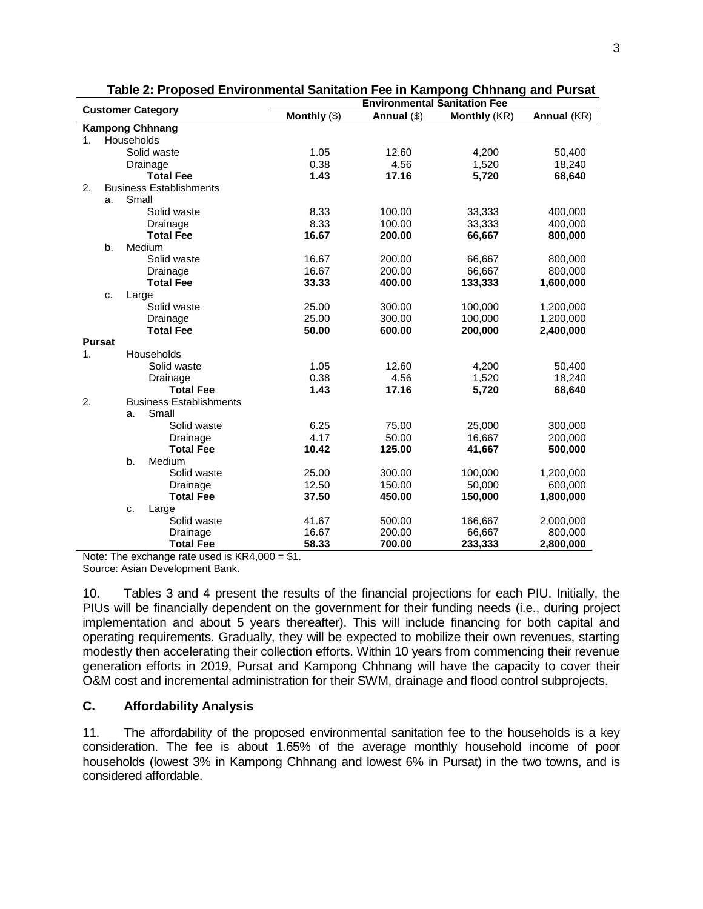|                |               | <b>Customer Category</b>       | <b>Environmental Sanitation Fee</b> |             |                     |             |  |  |  |  |  |  |  |  |
|----------------|---------------|--------------------------------|-------------------------------------|-------------|---------------------|-------------|--|--|--|--|--|--|--|--|
|                |               |                                | Monthly (\$)                        | Annual (\$) | <b>Monthly (KR)</b> | Annual (KR) |  |  |  |  |  |  |  |  |
|                |               | <b>Kampong Chhnang</b>         |                                     |             |                     |             |  |  |  |  |  |  |  |  |
| 1 <sub>1</sub> |               | Households                     |                                     |             |                     |             |  |  |  |  |  |  |  |  |
|                |               | Solid waste                    | 1.05                                | 12.60       | 4,200               | 50,400      |  |  |  |  |  |  |  |  |
|                |               | Drainage                       | 0.38                                | 4.56        | 1,520               | 18,240      |  |  |  |  |  |  |  |  |
|                |               | <b>Total Fee</b>               | 1.43                                | 17.16       | 5,720               | 68,640      |  |  |  |  |  |  |  |  |
| 2.             |               | <b>Business Establishments</b> |                                     |             |                     |             |  |  |  |  |  |  |  |  |
|                | a.            | Small                          |                                     |             |                     |             |  |  |  |  |  |  |  |  |
|                |               | Solid waste                    | 8.33                                | 100.00      | 33,333              | 400.000     |  |  |  |  |  |  |  |  |
|                |               | Drainage                       | 8.33                                | 100.00      | 33,333              | 400,000     |  |  |  |  |  |  |  |  |
|                |               | <b>Total Fee</b>               | 16.67                               | 200.00      | 66,667              | 800,000     |  |  |  |  |  |  |  |  |
|                | b.            | Medium                         |                                     |             |                     |             |  |  |  |  |  |  |  |  |
|                |               | Solid waste                    | 16.67                               | 200.00      | 66,667              | 800,000     |  |  |  |  |  |  |  |  |
|                |               | Drainage                       | 16.67                               | 200.00      | 66,667              | 800,000     |  |  |  |  |  |  |  |  |
|                |               | <b>Total Fee</b>               | 33.33                               | 400.00      | 133,333             | 1,600,000   |  |  |  |  |  |  |  |  |
|                | c.            | Large                          |                                     |             |                     |             |  |  |  |  |  |  |  |  |
|                |               | Solid waste                    | 25.00                               | 300.00      | 100,000             | 1,200,000   |  |  |  |  |  |  |  |  |
|                |               | Drainage                       | 25.00                               | 300.00      | 100,000             | 1,200,000   |  |  |  |  |  |  |  |  |
|                |               | <b>Total Fee</b>               | 50.00                               | 600.00      | 200,000             | 2,400,000   |  |  |  |  |  |  |  |  |
|                | <b>Pursat</b> |                                |                                     |             |                     |             |  |  |  |  |  |  |  |  |
| $\mathbf{1}$ . |               | Households                     |                                     |             |                     |             |  |  |  |  |  |  |  |  |
|                |               | Solid waste                    | 1.05                                | 12.60       | 4,200               | 50,400      |  |  |  |  |  |  |  |  |
|                |               | Drainage                       | 0.38                                | 4.56        | 1,520               | 18,240      |  |  |  |  |  |  |  |  |
|                |               | <b>Total Fee</b>               | 1.43                                | 17.16       | 5,720               | 68,640      |  |  |  |  |  |  |  |  |
| 2.             |               | <b>Business Establishments</b> |                                     |             |                     |             |  |  |  |  |  |  |  |  |
|                |               | Small<br>a.                    |                                     |             |                     |             |  |  |  |  |  |  |  |  |
|                |               | Solid waste                    | 6.25                                | 75.00       | 25,000              | 300,000     |  |  |  |  |  |  |  |  |
|                |               | Drainage                       | 4.17                                | 50.00       | 16,667              | 200,000     |  |  |  |  |  |  |  |  |
|                |               | <b>Total Fee</b>               | 10.42                               | 125.00      | 41,667              | 500,000     |  |  |  |  |  |  |  |  |
|                |               | b.<br>Medium                   |                                     |             |                     |             |  |  |  |  |  |  |  |  |
|                |               | Solid waste                    | 25.00                               | 300.00      | 100,000             | 1,200,000   |  |  |  |  |  |  |  |  |
|                |               | Drainage                       | 12.50                               | 150.00      | 50,000              | 600,000     |  |  |  |  |  |  |  |  |
|                |               | <b>Total Fee</b>               | 37.50                               | 450.00      | 150,000             | 1,800,000   |  |  |  |  |  |  |  |  |
|                |               | c.<br>Large                    |                                     |             |                     |             |  |  |  |  |  |  |  |  |
|                |               | Solid waste                    | 41.67                               | 500.00      | 166,667             | 2,000,000   |  |  |  |  |  |  |  |  |
|                |               | Drainage                       | 16.67                               | 200.00      | 66,667              | 800,000     |  |  |  |  |  |  |  |  |
|                |               | <b>Total Fee</b>               | 58.33                               | 700.00      | 233,333             | 2,800,000   |  |  |  |  |  |  |  |  |

| Table 2: Proposed Environmental Sanitation Fee in Kampong Chhnang and Pursat |  |  |
|------------------------------------------------------------------------------|--|--|
|                                                                              |  |  |

Note: The exchange rate used is KR4,000 = \$1.

Source: Asian Development Bank.

10. Tables 3 and 4 present the results of the financial projections for each PIU. Initially, the PIUs will be financially dependent on the government for their funding needs (i.e., during project implementation and about 5 years thereafter). This will include financing for both capital and operating requirements. Gradually, they will be expected to mobilize their own revenues, starting modestly then accelerating their collection efforts. Within 10 years from commencing their revenue generation efforts in 2019, Pursat and Kampong Chhnang will have the capacity to cover their O&M cost and incremental administration for their SWM, drainage and flood control subprojects.

## **C. Affordability Analysis**

11. The affordability of the proposed environmental sanitation fee to the households is a key consideration. The fee is about 1.65% of the average monthly household income of poor households (lowest 3% in Kampong Chhnang and lowest 6% in Pursat) in the two towns, and is considered affordable.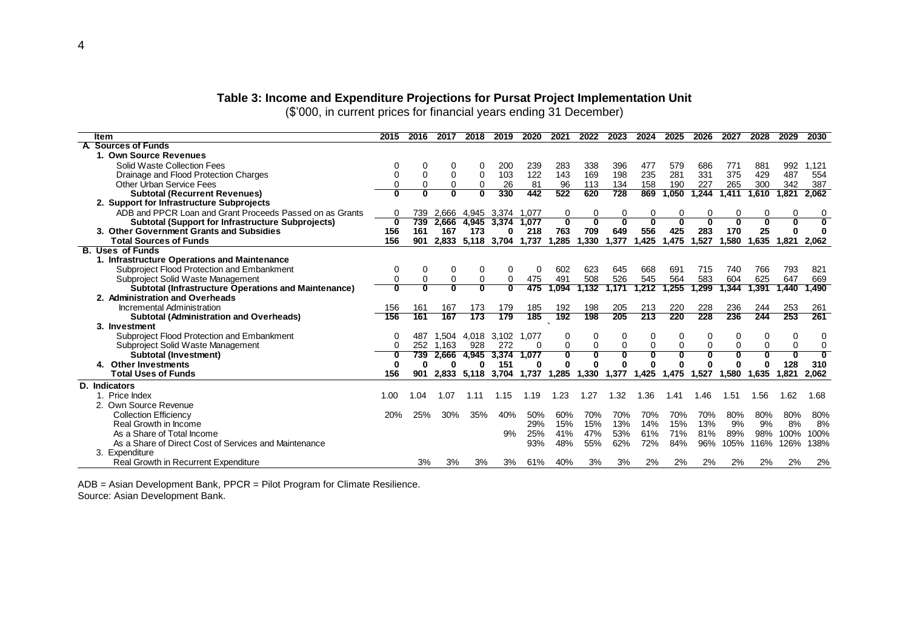#### **Table 3: Income and Expenditure Projections for Pursat Project Implementation Unit**

(\$'000, in current prices for financial years ending 31 December)

| ltem                                                        | 2015 | 2016                    | 2017                    | 2018  | 2019                    | 2020     | 2021                    | 2022     | 2023                    | 2024     | 2025     | 2026                    | 2027  | 2028  | 2029        | 2030                    |
|-------------------------------------------------------------|------|-------------------------|-------------------------|-------|-------------------------|----------|-------------------------|----------|-------------------------|----------|----------|-------------------------|-------|-------|-------------|-------------------------|
| <b>Sources of Funds</b>                                     |      |                         |                         |       |                         |          |                         |          |                         |          |          |                         |       |       |             |                         |
| 1. Own Source Revenues                                      |      |                         |                         |       |                         |          |                         |          |                         |          |          |                         |       |       |             |                         |
| Solid Waste Collection Fees                                 |      |                         | 0                       | o     | 200                     | 239      | 283                     | 338      | 396                     | 477      | 579      | 686                     | 771   | 881   | 992         | 1,121                   |
| Drainage and Flood Protection Charges                       |      | $\Omega$                | $\mathbf 0$             | 0     | 103                     | 122      | 143                     | 169      | 198                     | 235      | 281      | 331                     | 375   | 429   | 487         | 554                     |
| <b>Other Urban Service Fees</b>                             |      |                         | 0                       | 0     | 26                      | 81       | 96                      | 113      | 134                     | 158      | 190      | 227                     | 265   | 300   | 342         | 387                     |
| <b>Subtotal (Recurrent Revenues)</b>                        |      | $\overline{\mathbf{0}}$ | Ō                       | 0     | 330                     | 442      | 522                     | 620      | 728                     | 869      | 1,050    | 1,244                   | 1,411 | 1,610 | 821.ا       | 2,062                   |
| 2. Support for Infrastructure Subprojects                   |      |                         |                         |       |                         |          |                         |          |                         |          |          |                         |       |       |             |                         |
| ADB and PPCR Loan and Grant Proceeds Passed on as Grants    | 0    | 739                     | 2,666                   |       | 4.945 3.374 1.077       |          | 0                       | 0        | 0                       | 0        | 0        | 0                       | 0     | 0     | 0           | 0                       |
| <b>Subtotal (Support for Infrastructure Subprojects)</b>    | 0    | 739                     |                         |       | 2,666 4,945 3,374 1,077 |          | 0                       |          | $\overline{\mathbf{0}}$ | n        |          | Ō                       | n     |       | 0           | $\overline{\mathbf{0}}$ |
| 3. Other Government Grants and Subsidies                    | 156  | 161                     | 167                     | 173   | 0                       | 218      | 763                     | 709      | 649                     | 556      | 425      | 283                     | 170   | 25    |             | 0                       |
| <b>Total Sources of Funds</b>                               | 156  | 901                     | 2,833                   | 5,118 | 3,704                   | 1,737    | 1,285                   | 1,330    | 1,377                   | 1,425    | 1,475    | 1,527                   | 1,580 | 1,635 | 1,821       | 2,062                   |
| <b>B. Uses of Funds</b>                                     |      |                         |                         |       |                         |          |                         |          |                         |          |          |                         |       |       |             |                         |
| 1. Infrastructure Operations and Maintenance                |      |                         |                         |       |                         |          |                         |          |                         |          |          |                         |       |       |             |                         |
| Subproject Flood Protection and Embankment                  | 0    | 0                       | 0                       | 0     |                         | 0        | 602                     | 623      | 645                     | 668      | 691      | 715                     | 740   | 766   | 793         | 821                     |
| Subproject Solid Waste Management                           |      | $\mathbf 0$             | 0                       | 0     | 0                       | 475      | 491                     | 508      | 526                     | 545      | 564      | 583                     | 604   | 625   | 647         | 669                     |
| <b>Subtotal (Infrastructure Operations and Maintenance)</b> | O    | o                       | $\overline{\mathbf{0}}$ | σ     |                         | 475      | 1,094                   | 1,132    | ,171                    | 1.212    | 1,255    | .299                    | 1.344 | 1.391 | .440        | 1,490                   |
| 2. Administration and Overheads                             |      |                         |                         |       |                         |          |                         |          |                         |          |          |                         |       |       |             |                         |
| Incremental Administration                                  | 156  | 161                     | 167                     | 173   | 179                     | 185      | 192                     | 198      | 205                     | 213      | 220      | 228                     | 236   | 244   | 253         | 261                     |
| <b>Subtotal (Administration and Overheads)</b>              | 156  | 161                     | 167                     | 173   | 179                     | 185      | 192                     | 198      | 205                     | 213      | 220      | 228                     | 236   | 244   | 253         | 261                     |
| 3. Investment                                               |      |                         |                         |       |                         |          |                         |          |                         |          |          |                         |       |       |             |                         |
| Subproject Flood Protection and Embankment                  | 0    | 487                     |                         |       | 1,504 4,018 3,102 1,077 |          | 0                       |          | 0                       | 0        |          | 0                       | 0     |       | 0           | 0                       |
| Subproject Solid Waste Management                           | 0    | 252                     | 1.163                   | 928   | 272                     | $\Omega$ | 0                       | $\Omega$ | $\mathbf 0$             | $\Omega$ | $\Omega$ | $\mathbf 0$             | 0     |       | $\Omega$    | 0                       |
| <b>Subtotal (Investment)</b>                                | 0    | 739                     | 2,666                   | 4,945 | 3,374                   | 1,077    | $\overline{\mathbf{0}}$ |          | Ō                       | 0        |          | $\overline{\mathbf{0}}$ | 0     |       | $\mathbf 0$ | $\overline{\mathbf{0}}$ |
| 4. Other Investments                                        | 0    |                         | 0                       | 0     | 151                     | 0        | Λ                       |          |                         |          |          | O                       |       |       | 128         | 310                     |
| <b>Total Uses of Funds</b>                                  | 156  | 901                     | 2,833                   | 5,118 | 3,704 1,737             |          | 1,285                   | 1,330    | 1,377                   | 1,425    | 1,475    | 1,527                   | 1,580 | 1,635 | 1,821       | 2,062                   |
| <b>D.</b> Indicators                                        |      |                         |                         |       |                         |          |                         |          |                         |          |          |                         |       |       |             |                         |
| 1. Price Index                                              | 1.00 | .04                     | 1.07                    | 1.11  | 1.15                    | 1.19     | 1.23                    | 1.27     | 1.32                    | 1.36     | 1.41     | 1.46                    | 1.51  | 1.56  | 1.62        | 1.68                    |
| 2. Own Source Revenue                                       |      |                         |                         |       |                         |          |                         |          |                         |          |          |                         |       |       |             |                         |
| <b>Collection Efficiency</b>                                | 20%  | 25%                     | 30%                     | 35%   | 40%                     | 50%      | 60%                     | 70%      | 70%                     | 70%      | 70%      | 70%                     | 80%   | 80%   | 80%         | 80%                     |
| Real Growth in Income                                       |      |                         |                         |       |                         | 29%      | 15%                     | 15%      | 13%                     | 14%      | 15%      | 13%                     | 9%    | 9%    | 8%          | 8%                      |
| As a Share of Total Income                                  |      |                         |                         |       | 9%                      | 25%      | 41%                     | 47%      | 53%                     | 61%      | 71%      | 81%                     | 89%   | 98%   | 100%        | 100%                    |
| As a Share of Direct Cost of Services and Maintenance       |      |                         |                         |       |                         | 93%      | 48%                     | 55%      | 62%                     | 72%      | 84%      | 96%                     | 105%  | 116%  | 126%        | 138%                    |
| 3. Expenditure                                              |      |                         |                         |       |                         |          |                         |          |                         |          |          |                         |       |       |             |                         |
| <b>Real Growth in Recurrent Expenditure</b>                 |      | 3%                      | 3%                      | 3%    | 3%                      | 61%      | 40%                     | 3%       | 3%                      | 2%       | 2%       | 2%                      | 2%    | 2%    | 2%          | 2%                      |

ADB = Asian Development Bank, PPCR = Pilot Program for Climate Resilience. Source: Asian Development Bank.